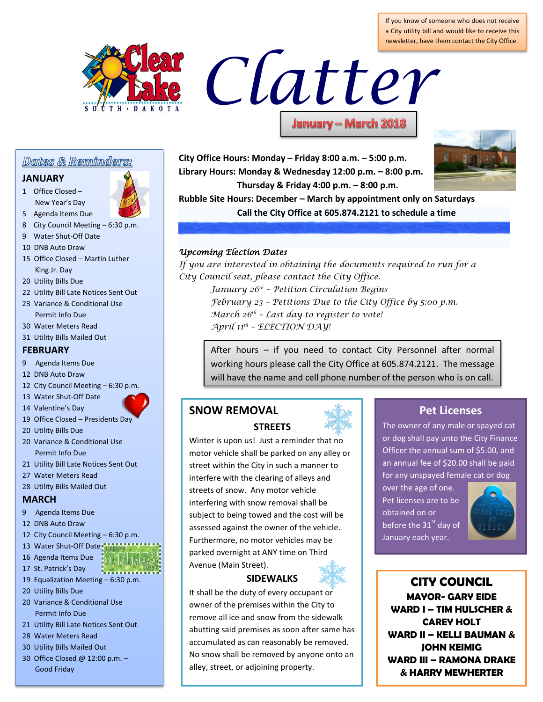If you know of someone who does not receive a City utility bill and would like to receive this newsletter, have them contact the City Office.



# Clatter

# Dates & Reminders:

#### **JANUARY**

1 Office Closed – New Year's Day

5 Agenda Items Due

- 
- 8 City Council Meeting 6:30 p.m. 9 Water Shut-Off Date
- 10 DNB Auto Draw
- 15 Office Closed Martin Luther King Jr. Day
- 20 Utility Bills Due
- 22 Utility Bill Late Notices Sent Out
- 23 Variance & Conditional Use Permit Info Due
- 30 Water Meters Read
- 31 Utility Bills Mailed Out

### **FEBRUARY**

- 9 Agenda Items Due
- 12 DNB Auto Draw
- 12 City Council Meeting 6:30 p.m.
- 13 Water Shut-Off Date
- 
- 19 Office Closed Presidents Day
- 20 Utility Bills Due

14 Valentine's Day

- 20 Variance & Conditional Use Permit Info Due
- 21 Utility Bill Late Notices Sent Out
- 27 Water Meters Read
- 28 Utility Bills Mailed Out

#### **MARCH**

- 9 Agenda Items Due
- 12 DNB Auto Draw
- 12 City Council Meeting 6:30 p.m.
- 13 Water Shut-Off Date MAPP
- 16 Agenda Items Due
- 17 St. Patrick's Day
- 19 Equalization Meeting 6:30 p.m.
- 20 Utility Bills Due
- 20 Variance & Conditional Use Permit Info Due
- 21 Utility Bill Late Notices Sent Out
- 28 Water Meters Read
- 30 Utility Bills Mailed Out
- 30 Office Closed @ 12:00 p.m. Good Friday

**City Office Hours: Monday – Friday 8:00 a.m. – 5:00 p.m. Library Hours: Monday & Wednesday 12:00 p.m. – 8:00 p.m. Thursday & Friday 4:00 p.m. – 8:00 p.m.**



**Rubble Site Hours: December – March by appointment only on Saturdays Call the City Office at 605.874.2121 to schedule a time**

# *Upcoming Election Dates*

*If you are interested in obtaining the documents required to run for a City Council seat, please contact the City Office.*

- *January 26th – Petition Circulation Begins*
- *February 23 – Petitions Due to the City Office by 5:00 p.m.*
- *March 26th – Last day to register to vote!*
- *April 11th – ELECTION DAY!*

After hours – if you need to contact City Personnel after normal working hours please call the City Office at 605.874.2121. The message will have the name and cell phone number of the person who is on call.

# **SNOW REMOVAL STREETS**



# **SIDEWALKS**

It shall be the duty of every occupant or owner of the premises within the City to remove all ice and snow from the sidewalk abutting said premises as soon after same has accumulated as can reasonably be removed. No snow shall be removed by anyone onto an alley, street, or adjoining property.

# **Pet Licenses**

The owner of any male or spayed cat or dog shall pay unto the City Finance Officer the annual sum of \$5.00, and an annual fee of \$20.00 shall be paid for any unspayed female cat or dog

over the age of one. Pet licenses are to be obtained on or before the  $31<sup>st</sup>$  day of January each year.



**CITY COUNCIL MAYOR- GARY EIDE WARD I – TIM HULSCHER & CAREY HOLT WARD II – KELLI BAUMAN & JOHN KEIMIG WARD III – RAMONA DRAKE & HARRY MEWHERTER**